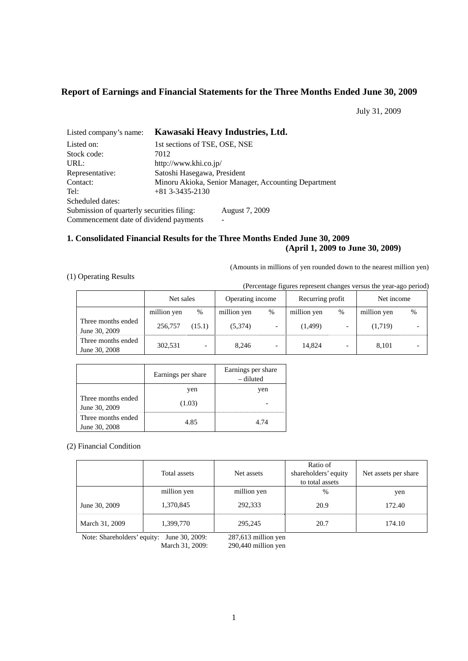# **Report of Earnings and Financial Statements for the Three Months Ended June 30, 2009**

July 31, 2009

| Listed company's name:                     | Kawasaki Heavy Industries, Ltd. |                                                      |  |  |
|--------------------------------------------|---------------------------------|------------------------------------------------------|--|--|
| Listed on:                                 | 1st sections of TSE, OSE, NSE   |                                                      |  |  |
| Stock code:                                | 7012                            |                                                      |  |  |
| URL:                                       | http://www.khi.co.jp/           |                                                      |  |  |
| Representative:                            | Satoshi Hasegawa, President     |                                                      |  |  |
| Contact:                                   |                                 | Minoru Akioka, Senior Manager, Accounting Department |  |  |
| Tel:                                       | $+81$ 3-3435-2130               |                                                      |  |  |
| Scheduled dates:                           |                                 |                                                      |  |  |
| Submission of quarterly securities filing: |                                 | August 7, 2009                                       |  |  |
| Commencement date of dividend payments     |                                 |                                                      |  |  |

## **1. Consolidated Financial Results for the Three Months Ended June 30, 2009 (April 1, 2009 to June 30, 2009)**

(Amounts in millions of yen rounded down to the nearest million yen)

## (1) Operating Results

(Percentage figures represent changes versus the year-ago period)

|                                     | Net sales   |                          | Operating income |                          | Recurring profit |   | Net income  |   |
|-------------------------------------|-------------|--------------------------|------------------|--------------------------|------------------|---|-------------|---|
|                                     | million yen | %                        | million yen      | $\%$                     | million yen      | % | million yen | % |
| Three months ended<br>June 30, 2009 | 256,757     | (15.1)                   | (5.374)          | $\overline{\phantom{0}}$ | (1, 499)         |   | (1,719)     |   |
| Three months ended<br>June 30, 2008 | 302,531     | $\overline{\phantom{0}}$ | 8.246            | $\overline{\phantom{0}}$ | 14.824           |   | 8.101       |   |

|                                     | Earnings per share | Earnings per share<br>– diluted |
|-------------------------------------|--------------------|---------------------------------|
|                                     | yen                | yen                             |
| Three months ended<br>June 30, 2009 | (1.03)             |                                 |
| Three months ended<br>June 30, 2008 | 4.85               | 4.74                            |

(2) Financial Condition

|                | Total assets | Net assets  | Ratio of<br>shareholders' equity<br>to total assets | Net assets per share |
|----------------|--------------|-------------|-----------------------------------------------------|----------------------|
|                | million yen  | million yen | $\%$                                                | yen                  |
| June 30, 2009  | 1,370,845    | 292.333     | 20.9                                                | 172.40               |
| March 31, 2009 | 1,399,770    | 295,245     | 20.7                                                | 174.10               |

Note: Shareholders' equity: June 30, 2009: 287,613 million yen

March 31, 2009: 290,440 million yen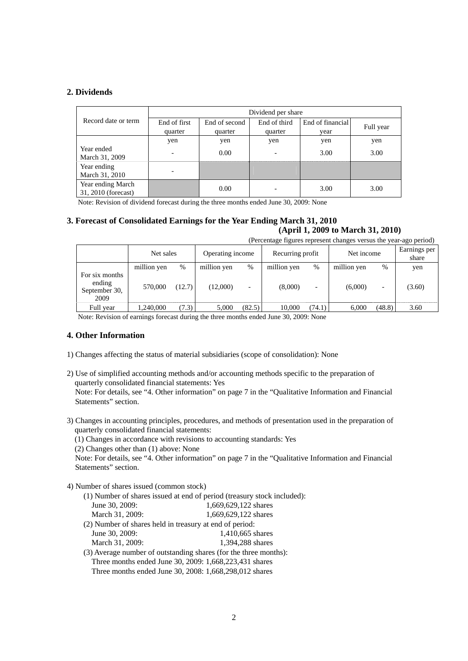## **2. Dividends**

|                                          | Dividend per share |               |                          |                  |           |  |
|------------------------------------------|--------------------|---------------|--------------------------|------------------|-----------|--|
| Record date or term                      | End of first       | End of second | End of third             | End of financial | Full year |  |
|                                          | quarter            | quarter       | quarter                  | vear             |           |  |
|                                          | yen                | yen           | yen                      | yen              | yen       |  |
| Year ended<br>March 31, 2009             | -                  | 0.00          | $\overline{\phantom{0}}$ | 3.00             | 3.00      |  |
| Year ending<br>March 31, 2010            |                    |               |                          |                  |           |  |
| Year ending March<br>31, 2010 (forecast) |                    | 0.00          |                          | 3.00             | 3.00      |  |

Note: Revision of dividend forecast during the three months ended June 30, 2009: None

# **3. Forecast of Consolidated Earnings for the Year Ending March 31, 2010 (April 1, 2009 to March 31, 2010)**

(Percentage figures represent changes versus the year-ago period)

|                                                   | Net sales   |        | Operating income |        | Recurring profit |                          | Net income  |                          | Earnings per<br>share |
|---------------------------------------------------|-------------|--------|------------------|--------|------------------|--------------------------|-------------|--------------------------|-----------------------|
|                                                   | million yen | %      | million yen      | %      | million yen      | $\%$                     | million yen | $\%$                     | yen                   |
| For six months<br>ending<br>September 30,<br>2009 | 570,000     | (12.7) | (12,000)         | -      | (8,000)          | $\overline{\phantom{0}}$ | (6,000)     | $\overline{\phantom{0}}$ | (3.60)                |
| Full year                                         | 1,240,000   | (7.3)  | 5.000            | (82.5) | 10.000           | (74.1)                   | 6.000       | (48.8)                   | 3.60                  |

Note: Revision of earnings forecast during the three months ended June 30, 2009: None

### **4. Other Information**

- 1) Changes affecting the status of material subsidiaries (scope of consolidation): None
- 2) Use of simplified accounting methods and/or accounting methods specific to the preparation of quarterly consolidated financial statements: Yes Note: For details, see "4. Other information" on page 7 in the "Qualitative Information and Financial Statements" section.
- 3) Changes in accounting principles, procedures, and methods of presentation used in the preparation of quarterly consolidated financial statements:

(1) Changes in accordance with revisions to accounting standards: Yes

(2) Changes other than (1) above: None

Note: For details, see "4. Other information" on page 7 in the "Qualitative Information and Financial Statements" section.

## 4) Number of shares issued (common stock)

|                                                         | (1) Number of shares issued at end of period (treasury stock included): |
|---------------------------------------------------------|-------------------------------------------------------------------------|
| June 30, 2009:                                          | 1.669.629.122 shares                                                    |
| March 31, 2009:                                         | 1.669.629.122 shares                                                    |
| (2) Number of shares held in treasury at end of period: |                                                                         |

- June 30, 2009: 1,410,665 shares March 31, 2009: 1,394,288 shares
- (3) Average number of outstanding shares (for the three months): Three months ended June 30, 2009: 1,668,223,431 shares Three months ended June 30, 2008: 1,668,298,012 shares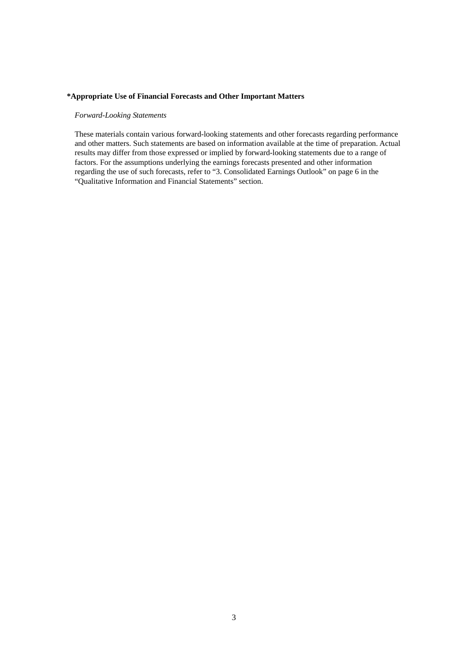## **\*Appropriate Use of Financial Forecasts and Other Important Matters**

## *Forward-Looking Statements*

These materials contain various forward-looking statements and other forecasts regarding performance and other matters. Such statements are based on information available at the time of preparation. Actual results may differ from those expressed or implied by forward-looking statements due to a range of factors. For the assumptions underlying the earnings forecasts presented and other information regarding the use of such forecasts, refer to "3. Consolidated Earnings Outlook" on page 6 in the "Qualitative Information and Financial Statements" section.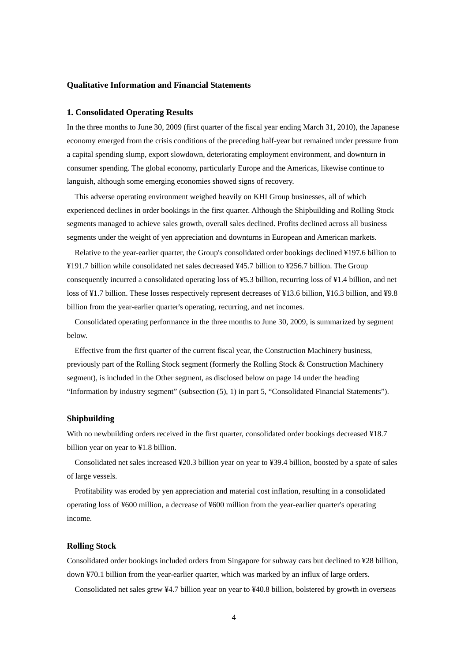## **Qualitative Information and Financial Statements**

### **1. Consolidated Operating Results**

In the three months to June 30, 2009 (first quarter of the fiscal year ending March 31, 2010), the Japanese economy emerged from the crisis conditions of the preceding half-year but remained under pressure from a capital spending slump, export slowdown, deteriorating employment environment, and downturn in consumer spending. The global economy, particularly Europe and the Americas, likewise continue to languish, although some emerging economies showed signs of recovery.

This adverse operating environment weighed heavily on KHI Group businesses, all of which experienced declines in order bookings in the first quarter. Although the Shipbuilding and Rolling Stock segments managed to achieve sales growth, overall sales declined. Profits declined across all business segments under the weight of yen appreciation and downturns in European and American markets.

Relative to the year-earlier quarter, the Group's consolidated order bookings declined ¥197.6 billion to ¥191.7 billion while consolidated net sales decreased ¥45.7 billion to ¥256.7 billion. The Group consequently incurred a consolidated operating loss of ¥5.3 billion, recurring loss of ¥1.4 billion, and net loss of ¥1.7 billion. These losses respectively represent decreases of ¥13.6 billion, ¥16.3 billion, and ¥9.8 billion from the year-earlier quarter's operating, recurring, and net incomes.

Consolidated operating performance in the three months to June 30, 2009, is summarized by segment below.

Effective from the first quarter of the current fiscal year, the Construction Machinery business, previously part of the Rolling Stock segment (formerly the Rolling Stock & Construction Machinery segment), is included in the Other segment, as disclosed below on page 14 under the heading "Information by industry segment" (subsection (5), 1) in part 5, "Consolidated Financial Statements").

## **Shipbuilding**

With no newbuilding orders received in the first quarter, consolidated order bookings decreased ¥18.7 billion year on year to ¥1.8 billion.

Consolidated net sales increased ¥20.3 billion year on year to ¥39.4 billion, boosted by a spate of sales of large vessels.

Profitability was eroded by yen appreciation and material cost inflation, resulting in a consolidated operating loss of ¥600 million, a decrease of ¥600 million from the year-earlier quarter's operating income.

## **Rolling Stock**

Consolidated order bookings included orders from Singapore for subway cars but declined to ¥28 billion, down ¥70.1 billion from the year-earlier quarter, which was marked by an influx of large orders.

Consolidated net sales grew ¥4.7 billion year on year to ¥40.8 billion, bolstered by growth in overseas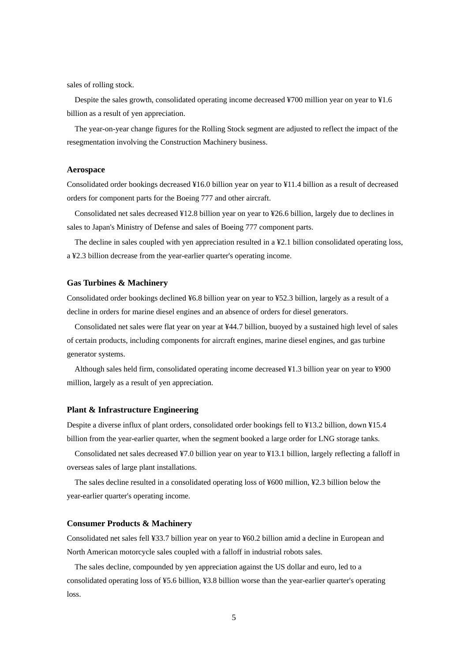sales of rolling stock.

Despite the sales growth, consolidated operating income decreased ¥700 million year on year to ¥1.6 billion as a result of yen appreciation.

The year-on-year change figures for the Rolling Stock segment are adjusted to reflect the impact of the resegmentation involving the Construction Machinery business.

## **Aerospace**

Consolidated order bookings decreased ¥16.0 billion year on year to ¥11.4 billion as a result of decreased orders for component parts for the Boeing 777 and other aircraft.

Consolidated net sales decreased ¥12.8 billion year on year to ¥26.6 billion, largely due to declines in sales to Japan's Ministry of Defense and sales of Boeing 777 component parts.

The decline in sales coupled with yen appreciation resulted in a ¥2.1 billion consolidated operating loss, a ¥2.3 billion decrease from the year-earlier quarter's operating income.

#### **Gas Turbines & Machinery**

Consolidated order bookings declined ¥6.8 billion year on year to ¥52.3 billion, largely as a result of a decline in orders for marine diesel engines and an absence of orders for diesel generators.

Consolidated net sales were flat year on year at ¥44.7 billion, buoyed by a sustained high level of sales of certain products, including components for aircraft engines, marine diesel engines, and gas turbine generator systems.

Although sales held firm, consolidated operating income decreased ¥1.3 billion year on year to ¥900 million, largely as a result of yen appreciation.

## **Plant & Infrastructure Engineering**

Despite a diverse influx of plant orders, consolidated order bookings fell to ¥13.2 billion, down ¥15.4 billion from the year-earlier quarter, when the segment booked a large order for LNG storage tanks.

Consolidated net sales decreased ¥7.0 billion year on year to ¥13.1 billion, largely reflecting a falloff in overseas sales of large plant installations.

The sales decline resulted in a consolidated operating loss of ¥600 million, ¥2.3 billion below the year-earlier quarter's operating income.

#### **Consumer Products & Machinery**

Consolidated net sales fell ¥33.7 billion year on year to ¥60.2 billion amid a decline in European and North American motorcycle sales coupled with a falloff in industrial robots sales.

The sales decline, compounded by yen appreciation against the US dollar and euro, led to a consolidated operating loss of ¥5.6 billion, ¥3.8 billion worse than the year-earlier quarter's operating loss.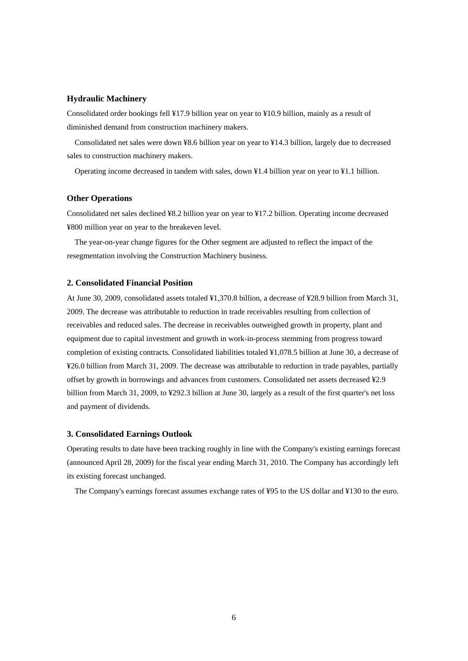## **Hydraulic Machinery**

Consolidated order bookings fell ¥17.9 billion year on year to ¥10.9 billion, mainly as a result of diminished demand from construction machinery makers.

Consolidated net sales were down ¥8.6 billion year on year to ¥14.3 billion, largely due to decreased sales to construction machinery makers.

Operating income decreased in tandem with sales, down ¥1.4 billion year on year to ¥1.1 billion.

## **Other Operations**

Consolidated net sales declined ¥8.2 billion year on year to ¥17.2 billion. Operating income decreased ¥800 million year on year to the breakeven level.

The year-on-year change figures for the Other segment are adjusted to reflect the impact of the resegmentation involving the Construction Machinery business.

## **2. Consolidated Financial Position**

At June 30, 2009, consolidated assets totaled ¥1,370.8 billion, a decrease of ¥28.9 billion from March 31, 2009. The decrease was attributable to reduction in trade receivables resulting from collection of receivables and reduced sales. The decrease in receivables outweighed growth in property, plant and equipment due to capital investment and growth in work-in-process stemming from progress toward completion of existing contracts. Consolidated liabilities totaled ¥1,078.5 billion at June 30, a decrease of ¥26.0 billion from March 31, 2009. The decrease was attributable to reduction in trade payables, partially offset by growth in borrowings and advances from customers. Consolidated net assets decreased ¥2.9 billion from March 31, 2009, to ¥292.3 billion at June 30, largely as a result of the first quarter's net loss and payment of dividends.

## **3. Consolidated Earnings Outlook**

Operating results to date have been tracking roughly in line with the Company's existing earnings forecast (announced April 28, 2009) for the fiscal year ending March 31, 2010. The Company has accordingly left its existing forecast unchanged.

The Company's earnings forecast assumes exchange rates of ¥95 to the US dollar and ¥130 to the euro.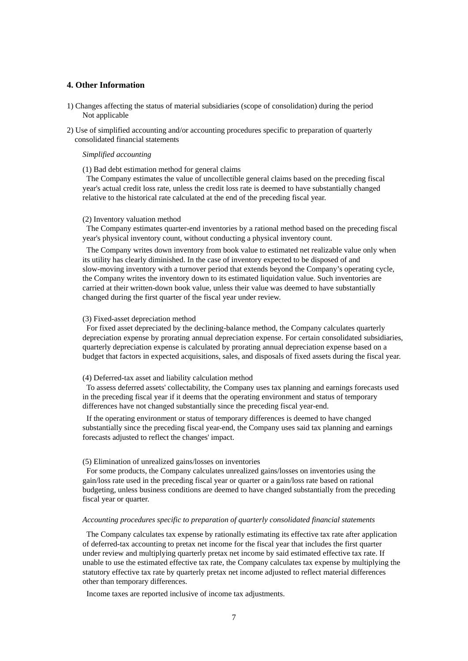## **4. Other Information**

- 1) Changes affecting the status of material subsidiaries (scope of consolidation) during the period Not applicable
- 2) Use of simplified accounting and/or accounting procedures specific to preparation of quarterly consolidated financial statements

## *Simplified accounting*

### (1) Bad debt estimation method for general claims

The Company estimates the value of uncollectible general claims based on the preceding fiscal year's actual credit loss rate, unless the credit loss rate is deemed to have substantially changed relative to the historical rate calculated at the end of the preceding fiscal year.

## (2) Inventory valuation method

The Company estimates quarter-end inventories by a rational method based on the preceding fiscal year's physical inventory count, without conducting a physical inventory count.

The Company writes down inventory from book value to estimated net realizable value only when its utility has clearly diminished. In the case of inventory expected to be disposed of and slow-moving inventory with a turnover period that extends beyond the Company's operating cycle, the Company writes the inventory down to its estimated liquidation value. Such inventories are carried at their written-down book value, unless their value was deemed to have substantially changed during the first quarter of the fiscal year under review.

#### (3) Fixed-asset depreciation method

For fixed asset depreciated by the declining-balance method, the Company calculates quarterly depreciation expense by prorating annual depreciation expense. For certain consolidated subsidiaries, quarterly depreciation expense is calculated by prorating annual depreciation expense based on a budget that factors in expected acquisitions, sales, and disposals of fixed assets during the fiscal year.

#### (4) Deferred-tax asset and liability calculation method

To assess deferred assets' collectability, the Company uses tax planning and earnings forecasts used in the preceding fiscal year if it deems that the operating environment and status of temporary differences have not changed substantially since the preceding fiscal year-end.

If the operating environment or status of temporary differences is deemed to have changed substantially since the preceding fiscal year-end, the Company uses said tax planning and earnings forecasts adjusted to reflect the changes' impact.

#### (5) Elimination of unrealized gains/losses on inventories

For some products, the Company calculates unrealized gains/losses on inventories using the gain/loss rate used in the preceding fiscal year or quarter or a gain/loss rate based on rational budgeting, unless business conditions are deemed to have changed substantially from the preceding fiscal year or quarter.

#### *Accounting procedures specific to preparation of quarterly consolidated financial statements*

The Company calculates tax expense by rationally estimating its effective tax rate after application of deferred-tax accounting to pretax net income for the fiscal year that includes the first quarter under review and multiplying quarterly pretax net income by said estimated effective tax rate. If unable to use the estimated effective tax rate, the Company calculates tax expense by multiplying the statutory effective tax rate by quarterly pretax net income adjusted to reflect material differences other than temporary differences.

Income taxes are reported inclusive of income tax adjustments.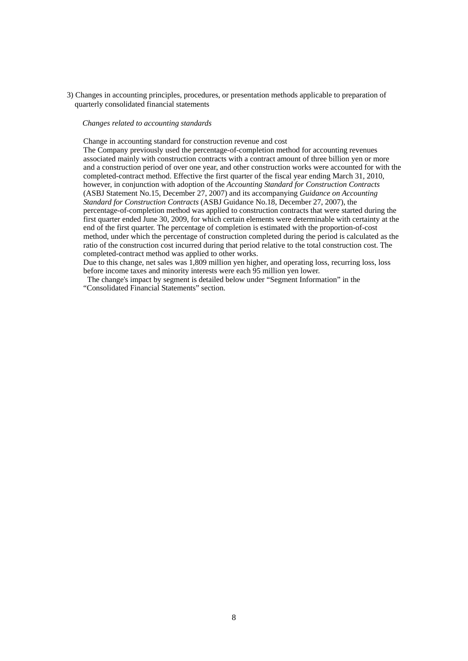3) Changes in accounting principles, procedures, or presentation methods applicable to preparation of quarterly consolidated financial statements

#### *Changes related to accounting standards*

Change in accounting standard for construction revenue and cost

The Company previously used the percentage-of-completion method for accounting revenues associated mainly with construction contracts with a contract amount of three billion yen or more and a construction period of over one year, and other construction works were accounted for with the completed-contract method. Effective the first quarter of the fiscal year ending March 31, 2010, however, in conjunction with adoption of the *Accounting Standard for Construction Contracts*  (ASBJ Statement No.15, December 27, 2007) and its accompanying *Guidance on Accounting Standard for Construction Contracts* (ASBJ Guidance No.18, December 27, 2007), the percentage-of-completion method was applied to construction contracts that were started during the first quarter ended June 30, 2009, for which certain elements were determinable with certainty at the end of the first quarter. The percentage of completion is estimated with the proportion-of-cost method, under which the percentage of construction completed during the period is calculated as the ratio of the construction cost incurred during that period relative to the total construction cost. The completed-contract method was applied to other works.

Due to this change, net sales was 1,809 million yen higher, and operating loss, recurring loss, loss before income taxes and minority interests were each 95 million yen lower.

The change's impact by segment is detailed below under "Segment Information" in the "Consolidated Financial Statements" section.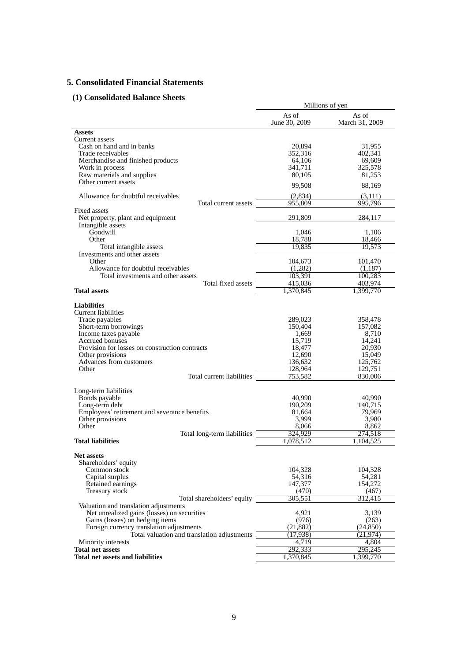# **5. Consolidated Financial Statements**

# **(1) Consolidated Balance Sheets**

|                                                                     | Millions of yen        |                         |  |
|---------------------------------------------------------------------|------------------------|-------------------------|--|
|                                                                     | As of<br>June 30, 2009 | As of<br>March 31, 2009 |  |
| <b>Assets</b>                                                       |                        |                         |  |
| Current assets                                                      |                        |                         |  |
| Cash on hand and in banks                                           | 20,894                 | 31,955                  |  |
| Trade receivables                                                   | 352,316                | 402,341                 |  |
| Merchandise and finished products<br>Work in process                | 64,106<br>341,711      | 69,609<br>325,578       |  |
| Raw materials and supplies                                          | 80,105                 | 81,253                  |  |
| Other current assets                                                | 99,508                 | 88,169                  |  |
| Allowance for doubtful receivables                                  | (2,834)                | (3,111)                 |  |
| Total current assets                                                | 955,809                | 995,796                 |  |
| Fixed assets                                                        |                        |                         |  |
| Net property, plant and equipment<br>Intangible assets              | 291,809                | 284,117                 |  |
| Goodwill                                                            | 1,046                  | 1,106                   |  |
| Other                                                               | 18,788                 | 18,466                  |  |
| Total intangible assets                                             | 19,835                 | 19,573                  |  |
| Investments and other assets                                        |                        |                         |  |
| Other                                                               | 104,673                | 101,470                 |  |
| Allowance for doubtful receivables                                  | (1,282)                | (1,187)                 |  |
| Total investments and other assets<br>Total fixed assets            | 103,391<br>415,036     | 100,283<br>403,974      |  |
| <b>Total assets</b>                                                 | ,370,845               | 1.399.770               |  |
|                                                                     |                        |                         |  |
| <b>Liabilities</b>                                                  |                        |                         |  |
| <b>Current liabilities</b>                                          |                        |                         |  |
| Trade payables                                                      | 289,023                | 358,478                 |  |
| Short-term borrowings                                               | 150,404                | 157,082                 |  |
| Income taxes payable<br>Accrued bonuses                             | 1,669<br>15,719        | 8,710<br>14,241         |  |
| Provision for losses on construction contracts                      | 18,477                 | 20,930                  |  |
| Other provisions                                                    | 12,690                 | 15,049                  |  |
| Advances from customers                                             | 136,632                | 125,762                 |  |
| Other                                                               | 128,964                | 129,751                 |  |
| Total current liabilities                                           | 753,582                | 830,006                 |  |
|                                                                     |                        |                         |  |
| Long-term liabilities<br>Bonds payable                              | 40,990                 | 40,990                  |  |
| Long-term debt                                                      | 190,209                | 140,715                 |  |
| Employees' retirement and severance benefits                        | 81,664                 | 79,969                  |  |
| Other provisions                                                    | 3,999                  | 3,980                   |  |
| Other                                                               | 8,066                  | 8,862                   |  |
| Total long-term liabilities                                         | 324,929                | 274.518                 |  |
| <b>Total liabilities</b>                                            | 1,078,512              | 1,104,525               |  |
| <b>Net assets</b>                                                   |                        |                         |  |
| Shareholders' equity                                                |                        |                         |  |
| Common stock                                                        | 104,328                | 104,328                 |  |
| Capital surplus                                                     | 54,316                 | 54,281                  |  |
| Retained earnings                                                   | 147,377                | 154,272                 |  |
| Treasury stock                                                      | (470)<br>305,551       | (467)<br>312,415        |  |
| Total shareholders' equity<br>Valuation and translation adjustments |                        |                         |  |
| Net unrealized gains (losses) on securities                         | 4,921                  | 3,139                   |  |
| Gains (losses) on hedging items                                     | (976)                  | (263)                   |  |
| Foreign currency translation adjustments                            | (21, 882)              | (24, 850)               |  |
| Total valuation and translation adjustments                         | (17, 938)              | (21, 974)               |  |
| Minority interests                                                  | 4,719                  | 4,804                   |  |
| <b>Total net assets</b>                                             | 292,333                | 295,245                 |  |
| <b>Total net assets and liabilities</b>                             | ,370,845               | ,399,770                |  |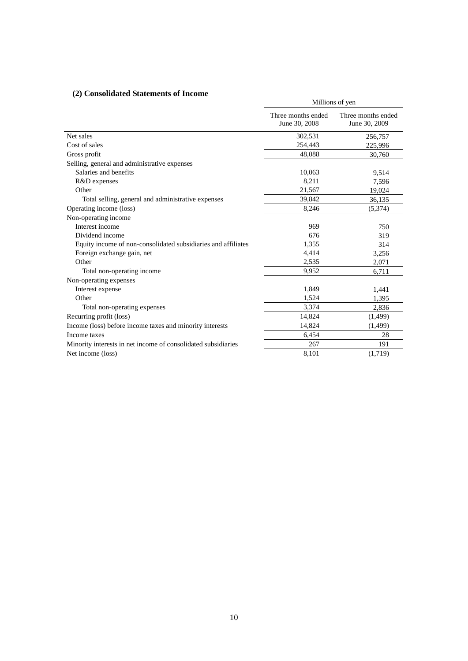# **(2) Consolidated Statements of Income**

| $\mu$ ) consondattu biattintiits of meome                     | Millions of yen                     |                                     |  |  |
|---------------------------------------------------------------|-------------------------------------|-------------------------------------|--|--|
|                                                               | Three months ended<br>June 30, 2008 | Three months ended<br>June 30, 2009 |  |  |
| Net sales                                                     | 302,531                             | 256,757                             |  |  |
| Cost of sales                                                 | 254,443                             | 225,996                             |  |  |
| Gross profit                                                  | 48,088                              | 30.760                              |  |  |
| Selling, general and administrative expenses                  |                                     |                                     |  |  |
| Salaries and benefits                                         | 10,063                              | 9,514                               |  |  |
| R&D expenses                                                  | 8,211                               | 7,596                               |  |  |
| Other                                                         | 21,567                              | 19,024                              |  |  |
| Total selling, general and administrative expenses            | 39,842                              | 36,135                              |  |  |
| Operating income (loss)                                       | 8,246                               | (5,374)                             |  |  |
| Non-operating income                                          |                                     |                                     |  |  |
| Interest income                                               | 969                                 | 750                                 |  |  |
| Dividend income                                               | 676                                 | 319                                 |  |  |
| Equity income of non-consolidated subsidiaries and affiliates | 1,355                               | 314                                 |  |  |
| Foreign exchange gain, net                                    | 4,414                               | 3,256                               |  |  |
| Other                                                         | 2,535                               | 2,071                               |  |  |
| Total non-operating income                                    | 9,952                               | 6,711                               |  |  |
| Non-operating expenses                                        |                                     |                                     |  |  |
| Interest expense                                              | 1,849                               | 1,441                               |  |  |
| Other                                                         | 1,524                               | 1,395                               |  |  |
| Total non-operating expenses                                  | 3,374                               | 2,836                               |  |  |
| Recurring profit (loss)                                       | 14,824                              | (1, 499)                            |  |  |
| Income (loss) before income taxes and minority interests      | 14,824                              | (1, 499)                            |  |  |
| Income taxes                                                  | 6,454                               | 28                                  |  |  |
| Minority interests in net income of consolidated subsidiaries | 267                                 | 191                                 |  |  |
| Net income (loss)                                             | 8,101                               | (1,719)                             |  |  |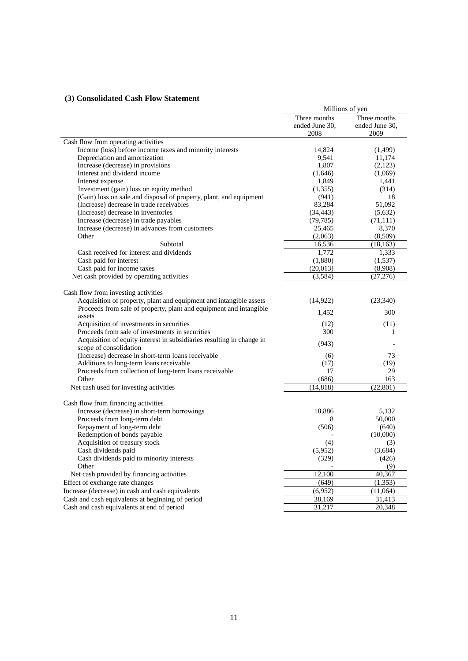# **(3) Consolidated Cash Flow Statement**

|                                                                                                           | Millions of yen                |                                |  |
|-----------------------------------------------------------------------------------------------------------|--------------------------------|--------------------------------|--|
|                                                                                                           | Three months<br>ended June 30, | Three months<br>ended June 30, |  |
|                                                                                                           | 2008                           | 2009                           |  |
| Cash flow from operating activities                                                                       |                                |                                |  |
| Income (loss) before income taxes and minority interests                                                  | 14,824                         | (1,499)                        |  |
| Depreciation and amortization                                                                             | 9,541                          | 11,174                         |  |
| Increase (decrease) in provisions                                                                         | 1,807                          | (2,123)                        |  |
| Interest and dividend income                                                                              | (1,646)                        | (1,069)                        |  |
| Interest expense                                                                                          | 1,849                          | 1,441                          |  |
| Investment (gain) loss on equity method                                                                   | (1,355)                        | (314)                          |  |
| (Gain) loss on sale and disposal of property, plant, and equipment                                        | (941)                          | 18                             |  |
| (Increase) decrease in trade receivables                                                                  | 83,284                         | 51,092                         |  |
| (Increase) decrease in inventories                                                                        | (34, 443)                      | (5,632)                        |  |
| Increase (decrease) in trade payables                                                                     | (79, 785)                      | (71, 111)                      |  |
| Increase (decrease) in advances from customers                                                            | 25,465                         | 8,370                          |  |
| Other                                                                                                     | (2,063)                        | (8,509)                        |  |
| Subtotal                                                                                                  | 16,536                         | (18, 163)                      |  |
| Cash received for interest and dividends                                                                  | 1,772                          | 1,333                          |  |
| Cash paid for interest                                                                                    | (1,880)                        | (1, 537)                       |  |
| Cash paid for income taxes                                                                                | (20,013)                       | (8,908)                        |  |
| Net cash provided by operating activities                                                                 | (3,584)                        | (27, 276)                      |  |
|                                                                                                           |                                |                                |  |
| Cash flow from investing activities<br>Acquisition of property, plant and equipment and intangible assets | (14, 922)                      | (23, 340)                      |  |
| Proceeds from sale of property, plant and equipment and intangible                                        |                                |                                |  |
| assets                                                                                                    | 1,452                          | 300                            |  |
| Acquisition of investments in securities                                                                  | (12)                           | (11)                           |  |
| Proceeds from sale of investments in securities                                                           | 300                            | 1                              |  |
| Acquisition of equity interest in subsidiaries resulting in change in                                     |                                |                                |  |
| scope of consolidation                                                                                    | (943)                          |                                |  |
| (Increase) decrease in short-term loans receivable                                                        | (6)                            | 73                             |  |
| Additions to long-term loans receivable                                                                   | (17)                           | (19)                           |  |
| Proceeds from collection of long-term loans receivable                                                    | 17                             | 29                             |  |
| Other                                                                                                     | (686)                          | 163                            |  |
| Net cash used for investing activities                                                                    | (14, 818)                      | (22, 801)                      |  |
|                                                                                                           |                                |                                |  |
| Cash flow from financing activities                                                                       |                                |                                |  |
| Increase (decrease) in short-term borrowings                                                              | 18,886                         | 5,132                          |  |
| Proceeds from long-term debt                                                                              | 8                              | 50,000                         |  |
| Repayment of long-term debt                                                                               | (506)                          | (640)                          |  |
| Redemption of bonds payable                                                                               |                                | (10,000)                       |  |
| Acquisition of treasury stock                                                                             | (4)                            | (3)                            |  |
| Cash dividends paid                                                                                       | (5,952)                        | (3,684)                        |  |
| Cash dividends paid to minority interests                                                                 | (329)                          | (426)                          |  |
| Other                                                                                                     |                                | (9)                            |  |
| Net cash provided by financing activities                                                                 | 12,100                         | 40,367                         |  |
| Effect of exchange rate changes                                                                           | (649)                          | (1,353)                        |  |
| Increase (decrease) in cash and cash equivalents                                                          | (6,952)                        | (11,064)                       |  |
| Cash and cash equivalents at beginning of period                                                          | 38,169                         | 31,413                         |  |
| Cash and cash equivalents at end of period                                                                | 31,217                         | 20,348                         |  |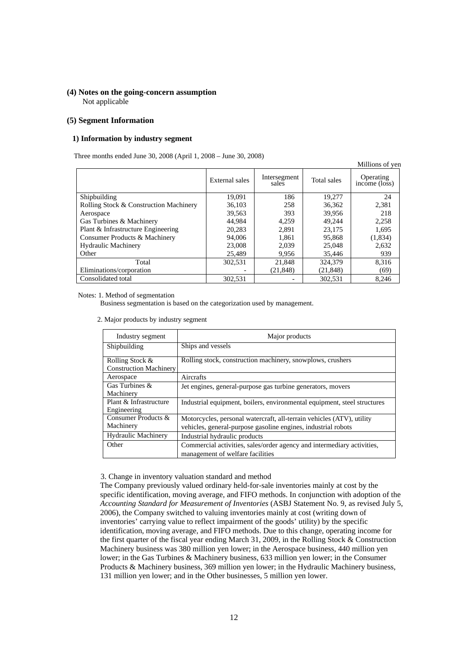## **(4) Notes on the going-concern assumption**  Not applicable

### **(5) Segment Information**

#### **1) Information by industry segment**

Three months ended June 30, 2008 (April 1, 2008 – June 30, 2008)

|                                        |                |                       |             | Millions of yer            |
|----------------------------------------|----------------|-----------------------|-------------|----------------------------|
|                                        | External sales | Intersegment<br>sales | Total sales | Operating<br>income (loss) |
| Shipbuilding                           | 19,091         | 186                   | 19,277      | 24                         |
| Rolling Stock & Construction Machinery | 36,103         | 258                   | 36,362      | 2,381                      |
| Aerospace                              | 39.563         | 393                   | 39,956      | 218                        |
| Gas Turbines & Machinery               | 44,984         | 4,259                 | 49.244      | 2,258                      |
| Plant & Infrastructure Engineering     | 20.283         | 2.891                 | 23,175      | 1,695                      |
| Consumer Products & Machinery          | 94,006         | 1,861                 | 95,868      | (1,834)                    |
| <b>Hydraulic Machinery</b>             | 23,008         | 2.039                 | 25,048      | 2,632                      |
| Other                                  | 25,489         | 9,956                 | 35,446      | 939                        |
| Total                                  | 302,531        | 21,848                | 324,379     | 8,316                      |
| Eliminations/corporation               |                | (21, 848)             | (21, 848)   | (69)                       |
| Consolidated total                     | 302.531        |                       | 302.531     | 8.246                      |

Notes: 1. Method of segmentation

Business segmentation is based on the categorization used by management.

2. Major products by industry segment

| Industry segment                                 | Major products                                                                                                                         |
|--------------------------------------------------|----------------------------------------------------------------------------------------------------------------------------------------|
| Shipbuilding                                     | Ships and vessels                                                                                                                      |
| Rolling Stock &<br><b>Construction Machinery</b> | Rolling stock, construction machinery, snowplows, crushers                                                                             |
| Aerospace                                        | Aircrafts                                                                                                                              |
| Gas Turbines $\&$<br>Machinery                   | Jet engines, general-purpose gas turbine generators, movers                                                                            |
| Plant & Infrastructure<br>Engineering            | Industrial equipment, boilers, environmental equipment, steel structures                                                               |
| Consumer Products &<br>Machinery                 | Motorcycles, personal watercraft, all-terrain vehicles (ATV), utility<br>vehicles, general-purpose gasoline engines, industrial robots |
| <b>Hydraulic Machinery</b>                       | Industrial hydraulic products                                                                                                          |
| Other                                            | Commercial activities, sales/order agency and intermediary activities,<br>management of welfare facilities                             |

3. Change in inventory valuation standard and method

The Company previously valued ordinary held-for-sale inventories mainly at cost by the specific identification, moving average, and FIFO methods. In conjunction with adoption of the *Accounting Standard for Measurement of Inventories* (ASBJ Statement No. 9, as revised July 5, 2006), the Company switched to valuing inventories mainly at cost (writing down of inventories' carrying value to reflect impairment of the goods' utility) by the specific identification, moving average, and FIFO methods. Due to this change, operating income for the first quarter of the fiscal year ending March 31, 2009, in the Rolling Stock & Construction Machinery business was 380 million yen lower; in the Aerospace business, 440 million yen lower; in the Gas Turbines & Machinery business, 633 million yen lower; in the Consumer Products & Machinery business, 369 million yen lower; in the Hydraulic Machinery business, 131 million yen lower; and in the Other businesses, 5 million yen lower.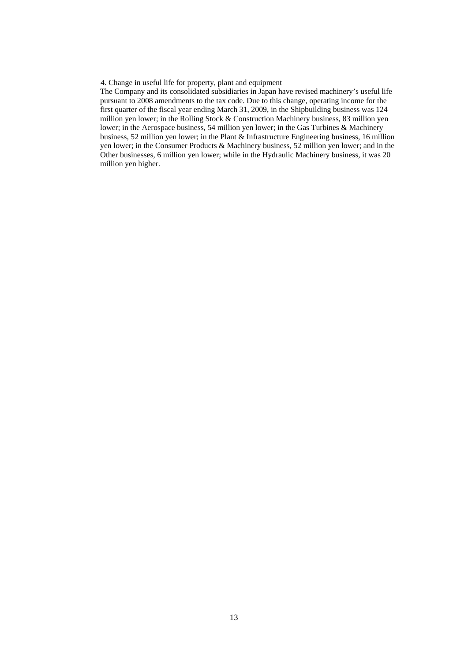4. Change in useful life for property, plant and equipment

The Company and its consolidated subsidiaries in Japan have revised machinery's useful life pursuant to 2008 amendments to the tax code. Due to this change, operating income for the first quarter of the fiscal year ending March 31, 2009, in the Shipbuilding business was 124 million yen lower; in the Rolling Stock & Construction Machinery business, 83 million yen lower; in the Aerospace business, 54 million yen lower; in the Gas Turbines & Machinery business, 52 million yen lower; in the Plant & Infrastructure Engineering business, 16 million yen lower; in the Consumer Products & Machinery business, 52 million yen lower; and in the Other businesses, 6 million yen lower; while in the Hydraulic Machinery business, it was 20 million yen higher.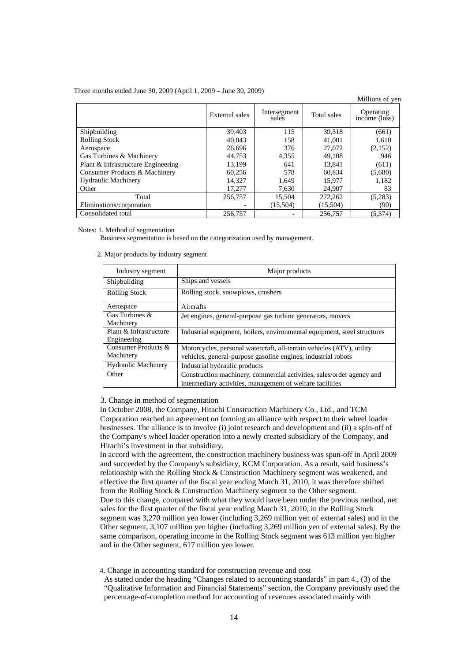#### Three months ended June 30, 2009 (April 1, 2009 – June 30, 2009)

| Three months ended June 30, 2009 (April 1, 2009 – June 30, 2009) |                |                       |             |                            |  |
|------------------------------------------------------------------|----------------|-----------------------|-------------|----------------------------|--|
|                                                                  | External sales | Intersegment<br>sales | Total sales | Operating<br>income (loss) |  |
| Shipbuilding                                                     | 39,403         | 115                   | 39,518      | (661)                      |  |
| <b>Rolling Stock</b>                                             | 40.843         | 158                   | 41,001      | 1,610                      |  |
| Aerospace                                                        | 26,696         | 376                   | 27,072      | (2,152)                    |  |
| Gas Turbines & Machinery                                         | 44.753         | 4,355                 | 49,108      | 946                        |  |
| Plant & Infrastructure Engineering                               | 13.199         | 641                   | 13.841      | (611)                      |  |
| Consumer Products & Machinery                                    | 60.256         | 578                   | 60.834      | (5,680)                    |  |
| <b>Hydraulic Machinery</b>                                       | 14.327         | 1.649                 | 15.977      | 1.182                      |  |
| Other                                                            | 17,277         | 7,630                 | 24,907      | 83                         |  |
| Total                                                            | 256,757        | 15,504                | 272,262     | (5,283)                    |  |
| Eliminations/corporation                                         |                | (15,504)              | (15,504)    | (90)                       |  |
| Consolidated total                                               | 256,757        |                       | 256,757     | (5,374)                    |  |

Notes: 1. Method of segmentation

Business segmentation is based on the categorization used by management.

2. Major products by industry segment

| Industry segment                      | Major products                                                                                                                         |
|---------------------------------------|----------------------------------------------------------------------------------------------------------------------------------------|
| Shipbuilding                          | Ships and vessels                                                                                                                      |
| <b>Rolling Stock</b>                  | Rolling stock, snowplows, crushers                                                                                                     |
| Aerospace                             | Aircrafts                                                                                                                              |
| Gas Turbines &<br>Machinery           | Jet engines, general-purpose gas turbine generators, movers                                                                            |
| Plant & Infrastructure<br>Engineering | Industrial equipment, boilers, environmental equipment, steel structures                                                               |
| Consumer Products &<br>Machinery      | Motorcycles, personal watercraft, all-terrain vehicles (ATV), utility<br>vehicles, general-purpose gasoline engines, industrial robots |
| <b>Hydraulic Machinery</b>            | Industrial hydraulic products                                                                                                          |
| Other                                 | Construction machinery, commercial activities, sales/order agency and<br>intermediary activities, management of welfare facilities     |

## 3. Change in method of segmentation

In October 2008, the Company, Hitachi Construction Machinery Co., Ltd., and TCM Corporation reached an agreement on forming an alliance with respect to their wheel loader businesses. The alliance is to involve (i) joint research and development and (ii) a spin-off of the Company's wheel loader operation into a newly created subsidiary of the Company, and Hitachi's investment in that subsidiary.

In accord with the agreement, the construction machinery business was spun-off in April 2009 and succeeded by the Company's subsidiary, KCM Corporation. As a result, said business's relationship with the Rolling Stock & Construction Machinery segment was weakened, and effective the first quarter of the fiscal year ending March 31, 2010, it was therefore shifted from the Rolling Stock & Construction Machinery segment to the Other segment. Due to this change, compared with what they would have been under the previous method, net sales for the first quarter of the fiscal year ending March 31, 2010, in the Rolling Stock segment was 3,270 million yen lower (including 3,269 million yen of external sales) and in the Other segment, 3,107 million yen higher (including 3,269 million yen of external sales). By the same comparison, operating income in the Rolling Stock segment was 613 million yen higher and in the Other segment, 617 million yen lower.

4. Change in accounting standard for construction revenue and cost

As stated under the heading "Changes related to accounting standards" in part 4., (3) of the "Qualitative Information and Financial Statements" section, the Company previously used the percentage-of-completion method for accounting of revenues associated mainly with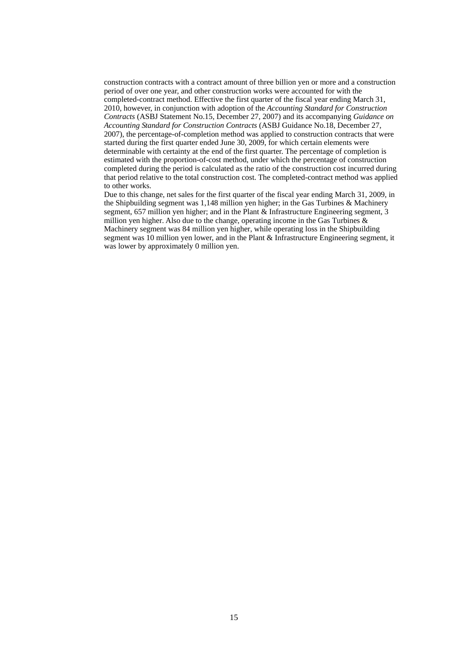construction contracts with a contract amount of three billion yen or more and a construction period of over one year, and other construction works were accounted for with the completed-contract method. Effective the first quarter of the fiscal year ending March 31, 2010, however, in conjunction with adoption of the *Accounting Standard for Construction Contracts* (ASBJ Statement No.15, December 27, 2007) and its accompanying *Guidance on Accounting Standard for Construction Contracts* (ASBJ Guidance No.18, December 27, 2007), the percentage-of-completion method was applied to construction contracts that were started during the first quarter ended June 30, 2009, for which certain elements were determinable with certainty at the end of the first quarter. The percentage of completion is estimated with the proportion-of-cost method, under which the percentage of construction completed during the period is calculated as the ratio of the construction cost incurred during that period relative to the total construction cost. The completed-contract method was applied to other works.

Due to this change, net sales for the first quarter of the fiscal year ending March 31, 2009, in the Shipbuilding segment was 1,148 million yen higher; in the Gas Turbines & Machinery segment, 657 million yen higher; and in the Plant  $\&$  Infrastructure Engineering segment, 3 million yen higher. Also due to the change, operating income in the Gas Turbines  $\&$ Machinery segment was 84 million yen higher, while operating loss in the Shipbuilding segment was 10 million yen lower, and in the Plant & Infrastructure Engineering segment, it was lower by approximately 0 million yen.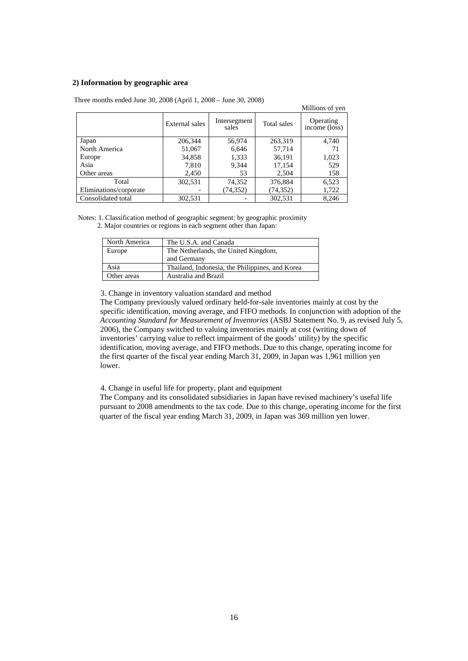## **2) Information by geographic area**

|                        |                |                       |             | Millions of yen                       |
|------------------------|----------------|-----------------------|-------------|---------------------------------------|
|                        | External sales | Intersegment<br>sales | Total sales | Operating<br>$inc\overline{o}$ (loss) |
| Japan                  | 206,344        | 56,974                | 263,319     | 4,740                                 |
| North America          | 51,067         | 6,646                 | 57,714      | 71                                    |
| Europe                 | 34,858         | 1,333                 | 36,191      | 1,023                                 |
| Asia                   | 7,810          | 9,344                 | 17,154      | 529                                   |
| Other areas            | 2,450          | 53                    | 2,504       | 158                                   |
| Total                  | 302,531        | 74,352                | 376,884     | 6,523                                 |
| Eliminations/corporate |                | (74, 352)             | (74, 352)   | 1,722                                 |
| Consolidated total     | 302,531        |                       | 302,531     | 8,246                                 |

Three months ended June 30, 2008 (April 1, 2008 – June 30, 2008)

Notes: 1. Classification method of geographic segment: by geographic proximity 2. Major countries or regions in each segment other than Japan:

| North America | The U.S.A. and Canada                           |
|---------------|-------------------------------------------------|
| Europe        | The Netherlands, the United Kingdom,            |
|               | and Germany                                     |
| Asia          | Thailand, Indonesia, the Philippines, and Korea |
| Other areas   | Australia and Brazil                            |

3. Change in inventory valuation standard and method

The Company previously valued ordinary held-for-sale inventories mainly at cost by the specific identification, moving average, and FIFO methods. In conjunction with adoption of the *Accounting Standard for Measurement of Inventories* (ASBJ Statement No. 9, as revised July 5, 2006), the Company switched to valuing inventories mainly at cost (writing down of inventories' carrying value to reflect impairment of the goods' utility) by the specific identification, moving average, and FIFO methods. Due to this change, operating income for the first quarter of the fiscal year ending March 31, 2009, in Japan was 1,961 million yen lower.

4. Change in useful life for property, plant and equipment

The Company and its consolidated subsidiaries in Japan have revised machinery's useful life pursuant to 2008 amendments to the tax code. Due to this change, operating income for the first quarter of the fiscal year ending March 31, 2009, in Japan was 369 million yen lower.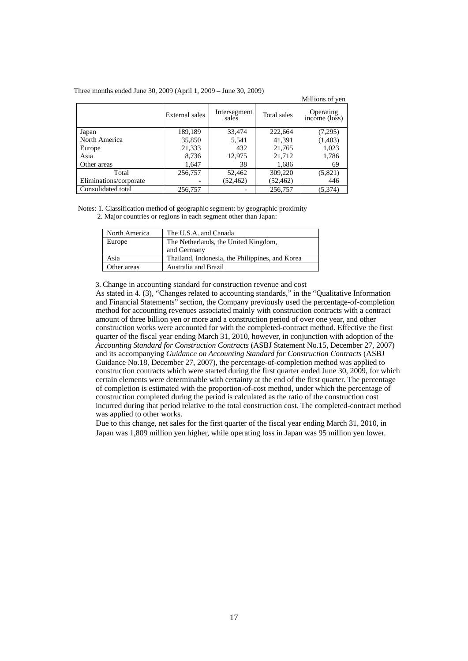|                        |                |                       |             | Millions of yen                  |
|------------------------|----------------|-----------------------|-------------|----------------------------------|
|                        | External sales | Intersegment<br>sales | Total sales | Operating<br>$income$ ( $los$ s) |
| Japan                  | 189,189        | 33,474                | 222,664     | (7,295)                          |
| North America          | 35,850         | 5,541                 | 41,391      | (1,403)                          |
| Europe                 | 21,333         | 432                   | 21,765      | 1,023                            |
| Asia                   | 8,736          | 12,975                | 21,712      | 1,786                            |
| Other areas            | 1,647          | 38                    | 1,686       | 69                               |
| Total                  | 256,757        | 52,462                | 309,220     | (5,821)                          |
| Eliminations/corporate |                | (52, 462)             | (52, 462)   | 446                              |
| Consolidated total     | 256,757        |                       | 256,757     | (5,374)                          |

Notes: 1. Classification method of geographic segment: by geographic proximity 2. Major countries or regions in each segment other than Japan:

| North America | The U.S.A. and Canada                           |
|---------------|-------------------------------------------------|
| Europe        | The Netherlands, the United Kingdom,            |
|               | and Germany                                     |
| Asia          | Thailand, Indonesia, the Philippines, and Korea |
| Other areas   | Australia and Brazil                            |

3. Change in accounting standard for construction revenue and cost

As stated in 4. (3), "Changes related to accounting standards," in the "Qualitative Information and Financial Statements" section, the Company previously used the percentage-of-completion method for accounting revenues associated mainly with construction contracts with a contract amount of three billion yen or more and a construction period of over one year, and other construction works were accounted for with the completed-contract method. Effective the first quarter of the fiscal year ending March 31, 2010, however, in conjunction with adoption of the *Accounting Standard for Construction Contracts* (ASBJ Statement No.15, December 27, 2007) and its accompanying *Guidance on Accounting Standard for Construction Contracts* (ASBJ Guidance No.18, December 27, 2007), the percentage-of-completion method was applied to construction contracts which were started during the first quarter ended June 30, 2009, for which certain elements were determinable with certainty at the end of the first quarter. The percentage of completion is estimated with the proportion-of-cost method, under which the percentage of construction completed during the period is calculated as the ratio of the construction cost incurred during that period relative to the total construction cost. The completed-contract method was applied to other works.

Due to this change, net sales for the first quarter of the fiscal year ending March 31, 2010, in Japan was 1,809 million yen higher, while operating loss in Japan was 95 million yen lower.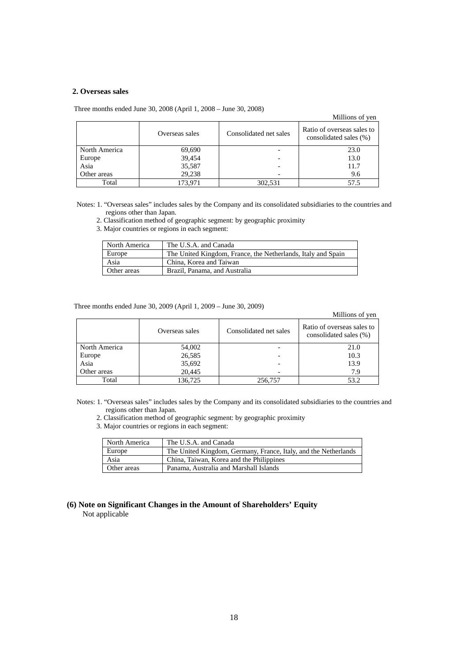## **2. Overseas sales**

Three months ended June 30, 2008 (April 1, 2008 – June 30, 2008)

Millions of yen

|               | Overseas sales | Consolidated net sales | Ratio of overseas sales to<br>consolidated sales (%) |  |
|---------------|----------------|------------------------|------------------------------------------------------|--|
| North America | 69,690         |                        | 23.0                                                 |  |
| Europe        | 39,454         |                        | 13.0                                                 |  |
| Asia          | 35,587         |                        | 11.7                                                 |  |
| Other areas   | 29.238         |                        | 9.6                                                  |  |
| Total         | 173.971        | 302,531                |                                                      |  |

Notes: 1. "Overseas sales" includes sales by the Company and its consolidated subsidiaries to the countries and regions other than Japan.

2. Classification method of geographic segment: by geographic proximity

3. Major countries or regions in each segment:

| North America | The U.S.A. and Canada                                        |
|---------------|--------------------------------------------------------------|
| Europe        | The United Kingdom, France, the Netherlands, Italy and Spain |
| Asia          | China. Korea and Taiwan                                      |
| Other areas   | Brazil, Panama, and Australia                                |

Three months ended June 30, 2009 (April 1, 2009 – June 30, 2009)

#### Millions of yen

|               | Overseas sales | Consolidated net sales | Ratio of overseas sales to<br>consolidated sales (%) |  |
|---------------|----------------|------------------------|------------------------------------------------------|--|
| North America | 54,002         |                        | 21.0                                                 |  |
| Europe        | 26,585         |                        | 10.3                                                 |  |
| Asia          | 35,692         |                        | 13.9                                                 |  |
| Other areas   | 20.445         |                        | 7.9                                                  |  |
| Total         | 136,725        | 256,757                | 53.2                                                 |  |

Notes: 1. "Overseas sales" includes sales by the Company and its consolidated subsidiaries to the countries and regions other than Japan.

2. Classification method of geographic segment: by geographic proximity

3. Major countries or regions in each segment:

| North America | The U.S.A. and Canada                                           |
|---------------|-----------------------------------------------------------------|
| Europe        | The United Kingdom, Germany, France, Italy, and the Netherlands |
| Asia          | China, Taiwan, Korea and the Philippines                        |
| Other areas   | Panama, Australia and Marshall Islands                          |

## **(6) Note on Significant Changes in the Amount of Shareholders' Equity**  Not applicable